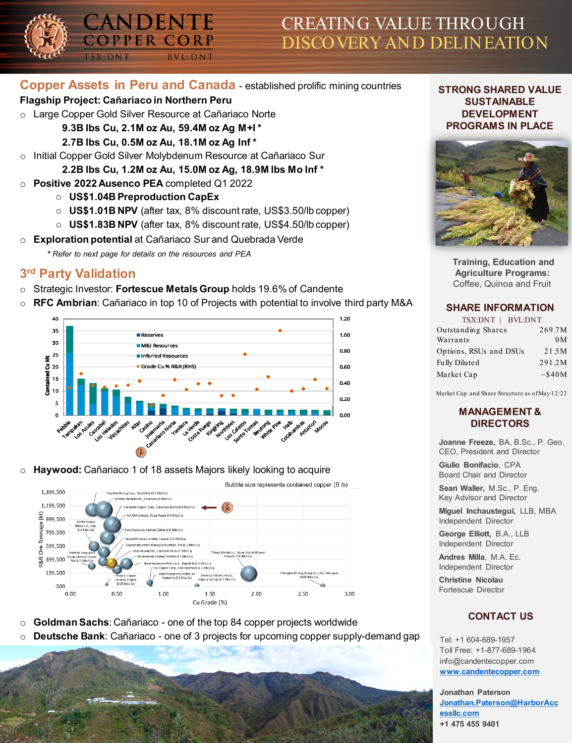# CREATING VALUE THROUGH DISCOVERY AND DELINEATION

## **Copper Assets in Peru and Canada** - established prolific mining countries

#### **Flagship Project: Cañariaco in Northern Peru**

- o Large Copper Gold Silver Resource at Cañariaco Norte
	- **9.3B lbs Cu, 2.1M oz Au, 59.4M oz Ag M+I \***

ANDENTE

PER CORP

 $BVL: DNT$ 

- **2.7B lbs Cu, 0.5M oz Au, 18.1M oz Ag Inf \***
- o Initial Copper Gold Silver Molybdenum Resource at Cañariaco Sur
	- **2.2B lbs Cu, 1.2M oz Au, 15.0M oz Ag, 18.9M lbs Mo Inf \***
- o **Positive 2022 Ausenco PEA** completed Q1 2022
	- o **US\$1.04B Preproduction CapEx**
	- o **US\$1.01B NPV** (after tax, 8% discount rate, US\$3.50/lb copper)
	- o **US\$1.83B NPV** (after tax, 8% discount rate, US\$4.50/lb copper)
- o **Exploration potential** at Cañariaco Sur and Quebrada Verde
	- *\* Refer to next page for details on the resources and PEA*

# **3rd Party Validation**

- Strategic Investor: Fortescue Metals Group holds 19.6% of Candente
- o **RFC Ambrian**: Cañariaco in top 10 of Projects with potential to involve third party M&A



o **Haywood:** Cañariaco 1 of 18 assets Majors likely looking to acquire



- o **Goldman Sachs**: Cañariaco one of the top 84 copper projects worldwide
- o **Deutsche Bank**: Cañariaco one of 3 projects for upcoming copper supply-demand gap

#### **STRONG SHARED VALUE SUSTAINABLE DEVELOPMENT PROGRAMS IN PLACE**



**Training, Education and Agriculture Programs:** Coffee, Quinoa and Fruit

#### **SHARE INFORMATION**

| TSX:DNT   BVL:DNT |
|-------------------|
| 269.7M            |
| 0 <sub>M</sub>    |
| 21.5M             |
| 291.2M            |
| $\sim$ \$40M      |
|                   |

Market Cap. and Share Structure as of May 12/22

#### **MANAGEMENT & DIRECTORS**

**Joanne Freeze,** BA, B.Sc., P. Geo. CEO, President and Director

**Giulio Bonifacio**, CPA Board Chair and Director

**Sean Waller,** M.Sc., P. Eng. Key Advisor and Director

**Miguel Inchaustegui,** LLB, MBA Independent Director

**George Elliott,** B.A., LLB Independent Director

**Andres Milla**, M.A. Ec. Independent Director

**Christine Nicolau** Fortescue Director

## **CONTACT US**

Tel: +1 604-689-1957 Toll Free: +1-877-689-1964 info@candentecopper.com **[www.candentecopper.com](http://www.candentecopper.com/)**

**Jonathan Paterson [Jonathan.Paterson@HarborAcc](mailto:Jonathan.Paterson@HarborAccessllc.com) essllc.com +1 475 455 9401**